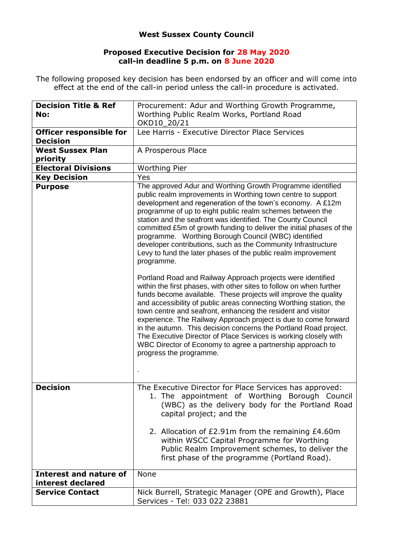## **West Sussex County Council**

## **Proposed Executive Decision for 28 May 2020 call-in deadline 5 p.m. on 8 June 2020**

The following proposed key decision has been endorsed by an officer and will come into effect at the end of the call-in period unless the call-in procedure is activated.

| <b>Decision Title &amp; Ref</b><br>No:            | Procurement: Adur and Worthing Growth Programme,<br>Worthing Public Realm Works, Portland Road                                                                                                                                                                                                                                                                                                                                                                                                                                                                                                                                                  |
|---------------------------------------------------|-------------------------------------------------------------------------------------------------------------------------------------------------------------------------------------------------------------------------------------------------------------------------------------------------------------------------------------------------------------------------------------------------------------------------------------------------------------------------------------------------------------------------------------------------------------------------------------------------------------------------------------------------|
|                                                   | OKD10_20/21                                                                                                                                                                                                                                                                                                                                                                                                                                                                                                                                                                                                                                     |
| <b>Officer responsible for</b><br><b>Decision</b> | Lee Harris - Executive Director Place Services                                                                                                                                                                                                                                                                                                                                                                                                                                                                                                                                                                                                  |
| <b>West Sussex Plan</b><br>priority               | A Prosperous Place                                                                                                                                                                                                                                                                                                                                                                                                                                                                                                                                                                                                                              |
| <b>Electoral Divisions</b>                        | <b>Worthing Pier</b>                                                                                                                                                                                                                                                                                                                                                                                                                                                                                                                                                                                                                            |
| <b>Key Decision</b>                               | Yes                                                                                                                                                                                                                                                                                                                                                                                                                                                                                                                                                                                                                                             |
| <b>Purpose</b>                                    | The approved Adur and Worthing Growth Programme identified<br>public realm improvements in Worthing town centre to support<br>development and regeneration of the town's economy. A £12m<br>programme of up to eight public realm schemes between the<br>station and the seafront was identified. The County Council<br>committed £5m of growth funding to deliver the initial phases of the<br>programme. Worthing Borough Council (WBC) identified<br>developer contributions, such as the Community Infrastructure<br>Levy to fund the later phases of the public realm improvement<br>programme.                                            |
|                                                   | Portland Road and Railway Approach projects were identified<br>within the first phases, with other sites to follow on when further<br>funds become available. These projects will improve the quality<br>and accessibility of public areas connecting Worthing station, the<br>town centre and seafront, enhancing the resident and visitor<br>experience. The Railway Approach project is due to come forward<br>in the autumn. This decision concerns the Portland Road project.<br>The Executive Director of Place Services is working closely with<br>WBC Director of Economy to agree a partnership approach to<br>progress the programme. |
| <b>Decision</b>                                   | The Executive Director for Place Services has approved:<br>1. The appointment of Worthing Borough Council<br>(WBC) as the delivery body for the Portland Road<br>capital project; and the                                                                                                                                                                                                                                                                                                                                                                                                                                                       |
|                                                   | 2. Allocation of £2.91m from the remaining £4.60m<br>within WSCC Capital Programme for Worthing<br>Public Realm Improvement schemes, to deliver the<br>first phase of the programme (Portland Road).                                                                                                                                                                                                                                                                                                                                                                                                                                            |
| Interest and nature of<br>interest declared       | None                                                                                                                                                                                                                                                                                                                                                                                                                                                                                                                                                                                                                                            |
| <b>Service Contact</b>                            | Nick Burrell, Strategic Manager (OPE and Growth), Place<br>Services - Tel: 033 022 23881                                                                                                                                                                                                                                                                                                                                                                                                                                                                                                                                                        |